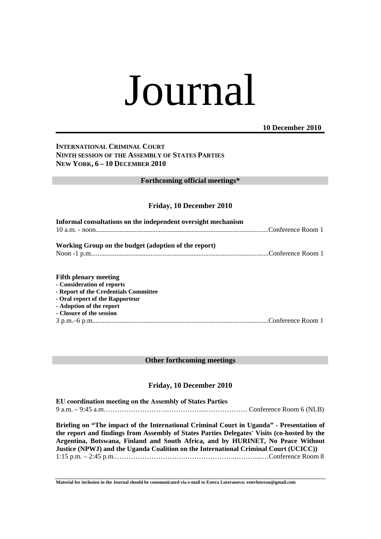# Journal

### **10 December 2010**

## **INTERNATIONAL CRIMINAL COURT NINTH SESSION OF THE ASSEMBLY OF STATES PARTIES NEW YORK, 6 – 10 DECEMBER 2010**

### **Forthcoming official meetings\***

### **Friday, 10 December 2010**

| Informal consultations on the independent oversight mechanism                                                                                                                                  |  |
|------------------------------------------------------------------------------------------------------------------------------------------------------------------------------------------------|--|
| Working Group on the budget (adoption of the report)                                                                                                                                           |  |
| <b>Fifth plenary meeting</b><br>- Consideration of reports<br>- Report of the Credentials Committee<br>- Oral report of the Rapporteur<br>- Adoption of the report<br>- Closure of the session |  |

### **Other forthcoming meetings**

### **Friday, 10 December 2010**

| EU coordination meeting on the Assembly of States Parties |                                                                                          |
|-----------------------------------------------------------|------------------------------------------------------------------------------------------|
|                                                           |                                                                                          |
|                                                           | Briefing on "The impact of the International Criminal Court in Uganda" - Presentation of |

**the report and findings from Assembly of States Parties Delegates' Visits (co-hosted by the Argentina, Botswana, Finland and South Africa, and by HURINET, No Peace Without Justice (NPWJ) and the Uganda Coalition on the International Criminal Court (UCICC))**  1:15 p.m. – 2:45 p.m.………………………….…………………..………...…Conference Room 8

**Material for inclusion in the Journal should be communicated via e-mail to Estera Luteranova: esterluteran@gmail.com**